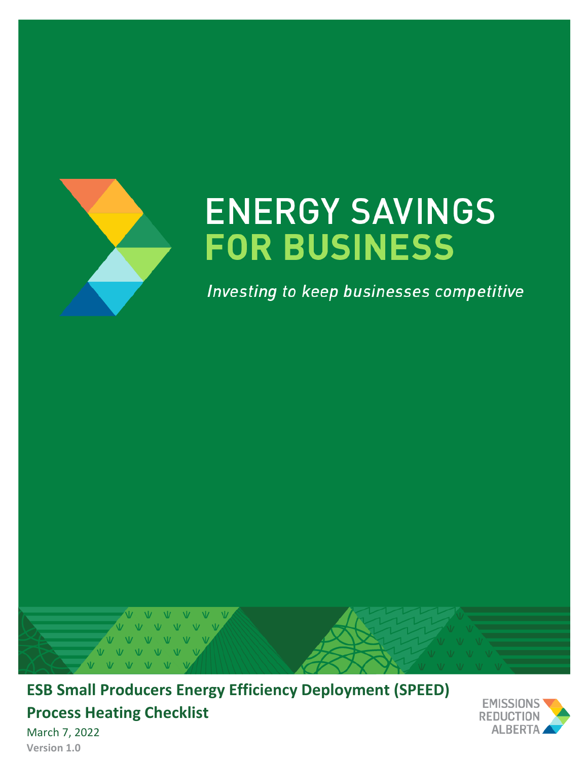

# **ENERGY SAVINGS FOR BUSINESS**

Investing to keep businesses competitive



**ESB Small Producers Energy Efficiency Deployment (SPEED) Process Heating Checklist**



March 7, 2022 **Version 1.0**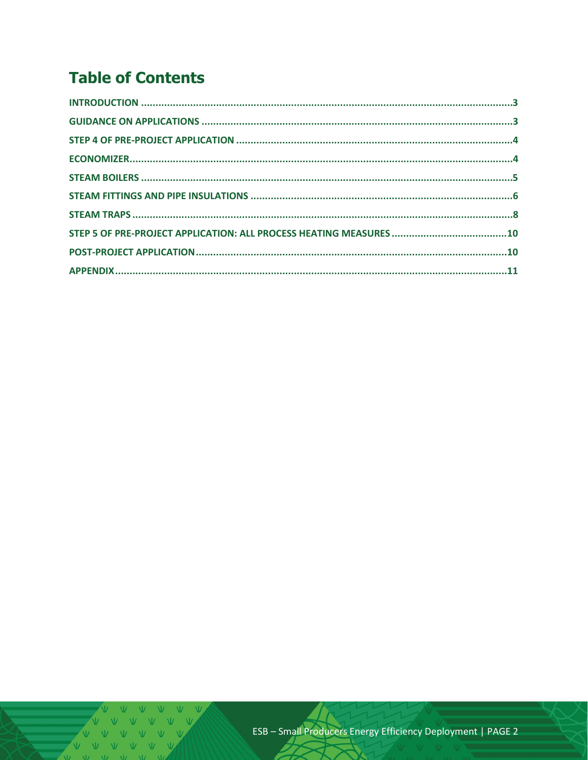# **Table of Contents**

V V V V V V V  $V$   $V$   $V$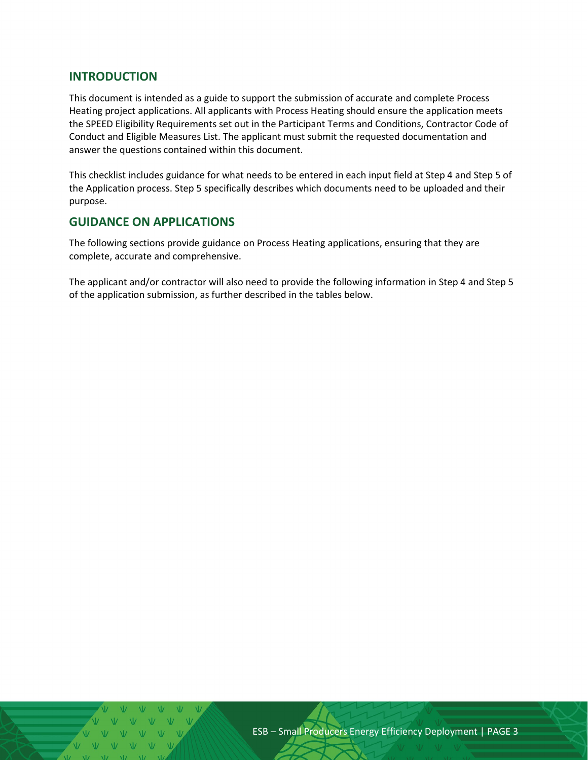#### <span id="page-2-0"></span>**INTRODUCTION**

This document is intended as a guide to support the submission of accurate and complete Process Heating project applications. All applicants with Process Heating should ensure the application meets the SPEED Eligibility Requirements set out in the Participant Terms and Conditions, Contractor Code of Conduct and Eligible Measures List. The applicant must submit the requested documentation and answer the questions contained within this document.

This checklist includes guidance for what needs to be entered in each input field at Step 4 and Step 5 of the Application process. Step 5 specifically describes which documents need to be uploaded and their purpose.

#### <span id="page-2-1"></span>**GUIDANCE ON APPLICATIONS**

The following sections provide guidance on Process Heating applications, ensuring that they are complete, accurate and comprehensive.

The applicant and/or contractor will also need to provide the following information in Step 4 and Step 5 of the application submission, as further described in the tables below.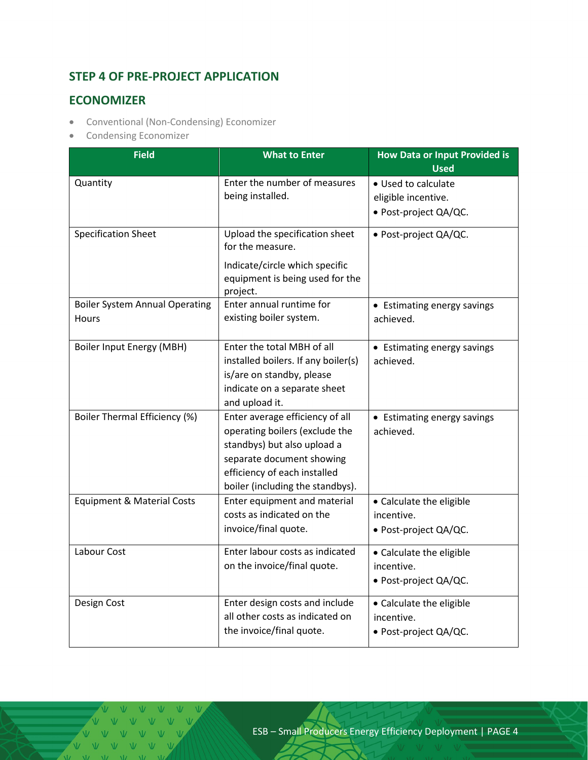# <span id="page-3-0"></span>**STEP 4 OF PRE-PROJECT APPLICATION**

### <span id="page-3-1"></span>**ECONOMIZER**

- Conventional (Non-Condensing) Economizer
- Condensing Economizer

| <b>Field</b>                                          | <b>What to Enter</b>                                                                                                                                                                              | <b>How Data or Input Provided is</b><br><b>Used</b>                 |  |
|-------------------------------------------------------|---------------------------------------------------------------------------------------------------------------------------------------------------------------------------------------------------|---------------------------------------------------------------------|--|
| Quantity                                              | Enter the number of measures<br>being installed.                                                                                                                                                  | • Used to calculate<br>eligible incentive.<br>· Post-project QA/QC. |  |
| <b>Specification Sheet</b>                            | Upload the specification sheet<br>for the measure.<br>Indicate/circle which specific<br>equipment is being used for the<br>project.                                                               | · Post-project QA/QC.                                               |  |
| <b>Boiler System Annual Operating</b><br><b>Hours</b> | Enter annual runtime for<br>existing boiler system.                                                                                                                                               | • Estimating energy savings<br>achieved.                            |  |
| Boiler Input Energy (MBH)                             | Enter the total MBH of all<br>installed boilers. If any boiler(s)<br>is/are on standby, please<br>indicate on a separate sheet<br>and upload it.                                                  | • Estimating energy savings<br>achieved.                            |  |
| <b>Boiler Thermal Efficiency (%)</b>                  | Enter average efficiency of all<br>operating boilers (exclude the<br>standbys) but also upload a<br>separate document showing<br>efficiency of each installed<br>boiler (including the standbys). | • Estimating energy savings<br>achieved.                            |  |
| <b>Equipment &amp; Material Costs</b>                 | Enter equipment and material<br>costs as indicated on the<br>invoice/final quote.                                                                                                                 | • Calculate the eligible<br>incentive.<br>· Post-project QA/QC.     |  |
| Labour Cost                                           | Enter labour costs as indicated<br>on the invoice/final quote.                                                                                                                                    | • Calculate the eligible<br>incentive.<br>• Post-project QA/QC.     |  |
| Design Cost                                           | Enter design costs and include<br>all other costs as indicated on<br>the invoice/final quote.                                                                                                     | • Calculate the eligible<br>incentive.<br>• Post-project QA/QC.     |  |

V V V V V V V V V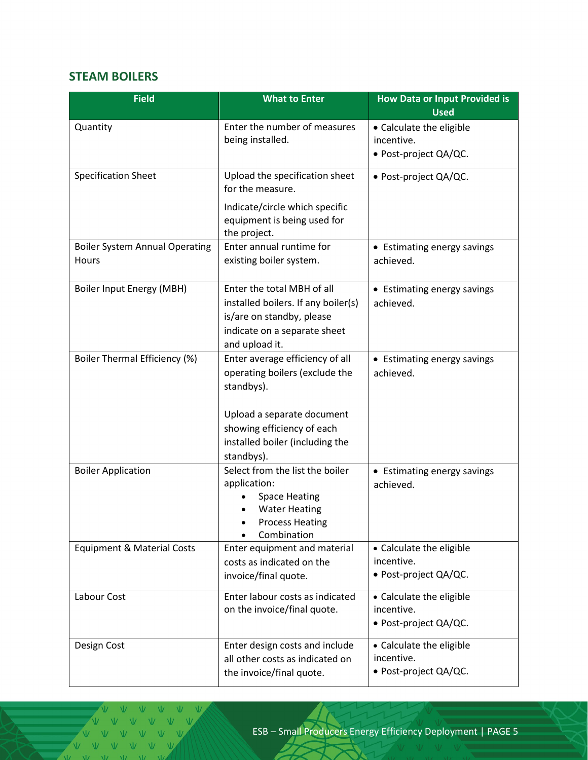# <span id="page-4-0"></span>**STEAM BOILERS**

| <b>Field</b>                                   | <b>What to Enter</b>                                                                                                                                                                         | <b>How Data or Input Provided is</b><br><b>Used</b>             |  |
|------------------------------------------------|----------------------------------------------------------------------------------------------------------------------------------------------------------------------------------------------|-----------------------------------------------------------------|--|
| Quantity                                       | Enter the number of measures<br>being installed.                                                                                                                                             | • Calculate the eligible<br>incentive.<br>· Post-project QA/QC. |  |
| <b>Specification Sheet</b>                     | Upload the specification sheet<br>· Post-project QA/QC.<br>for the measure.<br>Indicate/circle which specific<br>equipment is being used for<br>the project.                                 |                                                                 |  |
| <b>Boiler System Annual Operating</b><br>Hours | Enter annual runtime for<br>existing boiler system.                                                                                                                                          | • Estimating energy savings<br>achieved.                        |  |
| Boiler Input Energy (MBH)                      | Enter the total MBH of all<br>installed boilers. If any boiler(s)<br>is/are on standby, please<br>indicate on a separate sheet<br>and upload it.                                             | • Estimating energy savings<br>achieved.                        |  |
| Boiler Thermal Efficiency (%)                  | Enter average efficiency of all<br>operating boilers (exclude the<br>standbys).<br>Upload a separate document<br>showing efficiency of each<br>installed boiler (including the<br>standbys). | • Estimating energy savings<br>achieved.                        |  |
| <b>Boiler Application</b>                      | Select from the list the boiler<br>application:<br><b>Space Heating</b><br><b>Water Heating</b><br><b>Process Heating</b><br>Combination                                                     | • Estimating energy savings<br>achieved.                        |  |
| <b>Equipment &amp; Material Costs</b>          | Enter equipment and material<br>costs as indicated on the<br>invoice/final quote.                                                                                                            | • Calculate the eligible<br>incentive.<br>• Post-project QA/QC. |  |
| Labour Cost                                    | Enter labour costs as indicated<br>• Calculate the eligible<br>on the invoice/final quote.<br>incentive.<br>• Post-project QA/QC.                                                            |                                                                 |  |
| Design Cost                                    | Enter design costs and include<br>all other costs as indicated on<br>the invoice/final quote.                                                                                                | • Calculate the eligible<br>incentive.<br>• Post-project QA/QC. |  |

 $\overline{\mathsf{v}}$   $\mathsf{v}$ VVVV  $V - V$ V V V V V V V V V V V  $\mathbf{V}$   $\mathbf{V}$   $\mathbf{V}$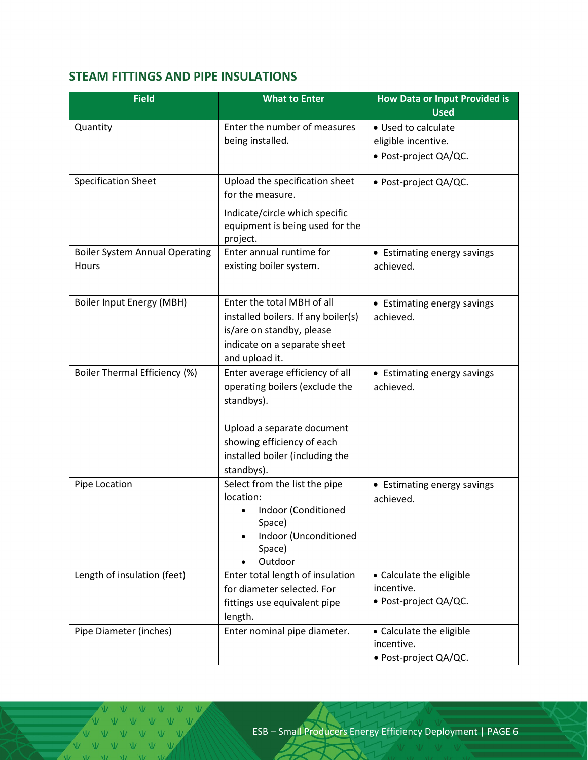# <span id="page-5-0"></span>**STEAM FITTINGS AND PIPE INSULATIONS**

| <b>Field</b>                                   | <b>What to Enter</b>                                                                                                                                                                         | <b>How Data or Input Provided is</b><br><b>Used</b>                 |
|------------------------------------------------|----------------------------------------------------------------------------------------------------------------------------------------------------------------------------------------------|---------------------------------------------------------------------|
| Quantity                                       | Enter the number of measures<br>being installed.                                                                                                                                             | • Used to calculate<br>eligible incentive.<br>· Post-project QA/QC. |
| <b>Specification Sheet</b>                     | Upload the specification sheet<br>for the measure.<br>Indicate/circle which specific<br>equipment is being used for the<br>project.                                                          | · Post-project QA/QC.                                               |
| <b>Boiler System Annual Operating</b><br>Hours | Enter annual runtime for<br>existing boiler system.                                                                                                                                          | • Estimating energy savings<br>achieved.                            |
| Boiler Input Energy (MBH)                      | Enter the total MBH of all<br>installed boilers. If any boiler(s)<br>is/are on standby, please<br>indicate on a separate sheet<br>and upload it.                                             | • Estimating energy savings<br>achieved.                            |
| Boiler Thermal Efficiency (%)                  | Enter average efficiency of all<br>operating boilers (exclude the<br>standbys).<br>Upload a separate document<br>showing efficiency of each<br>installed boiler (including the<br>standbys). | • Estimating energy savings<br>achieved.                            |
| Pipe Location                                  | Select from the list the pipe<br>location:<br>Indoor (Conditioned<br>Space)<br>Indoor (Unconditioned<br>Space)<br>Outdoor                                                                    | • Estimating energy savings<br>achieved.                            |
| Length of insulation (feet)                    | Enter total length of insulation<br>• Calculate the eligible<br>incentive.<br>for diameter selected. For<br>· Post-project QA/QC.<br>fittings use equivalent pipe<br>length.                 |                                                                     |
| Pipe Diameter (inches)                         | Enter nominal pipe diameter.                                                                                                                                                                 | • Calculate the eligible<br>incentive.<br>• Post-project QA/QC.     |

VVVV V V V V V V V  $V$   $V$  $\overline{M}$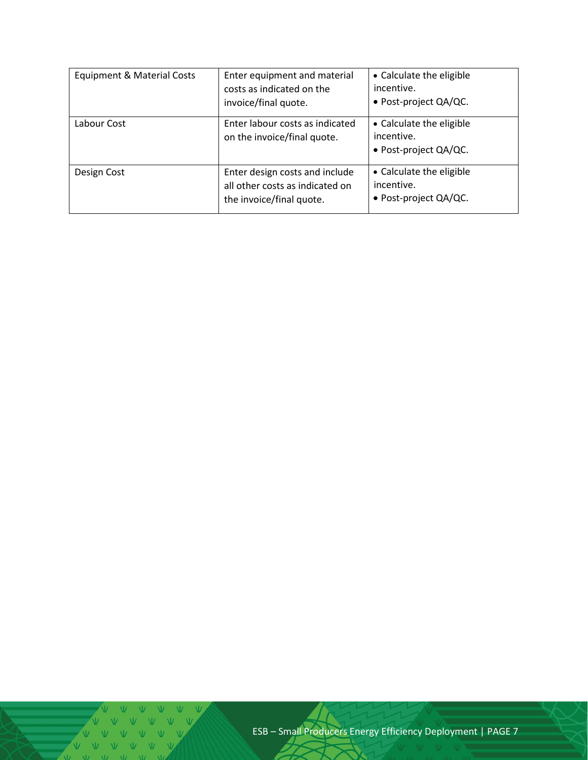| <b>Equipment &amp; Material Costs</b> | Enter equipment and material<br>costs as indicated on the<br>invoice/final quote.             | • Calculate the eligible<br>incentive.<br>• Post-project QA/QC.    |
|---------------------------------------|-----------------------------------------------------------------------------------------------|--------------------------------------------------------------------|
| Labour Cost                           | Enter labour costs as indicated<br>on the invoice/final quote.                                | • Calculate the eligible<br>incentive.<br>• Post-project QA/QC.    |
| Design Cost                           | Enter design costs and include<br>all other costs as indicated on<br>the invoice/final quote. | • Calculate the eligible<br>incentive.<br>• Post-project $QA/QC$ . |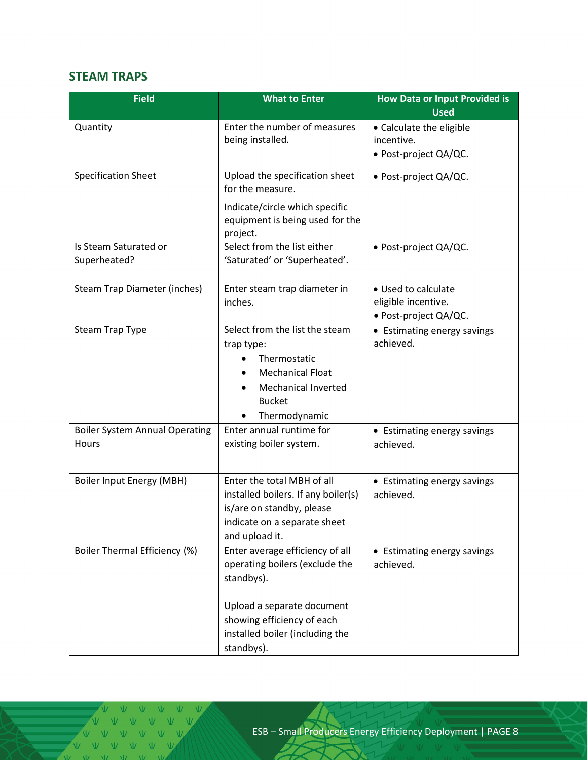# <span id="page-7-0"></span>**STEAM TRAPS**

| <b>Field</b>                                   | <b>What to Enter</b>                                                                                                                                                                         | <b>How Data or Input Provided is</b><br><b>Used</b>                 |  |
|------------------------------------------------|----------------------------------------------------------------------------------------------------------------------------------------------------------------------------------------------|---------------------------------------------------------------------|--|
| Quantity                                       | Enter the number of measures<br>being installed.                                                                                                                                             | • Calculate the eligible<br>incentive.<br>• Post-project QA/QC.     |  |
| <b>Specification Sheet</b>                     | Upload the specification sheet<br>for the measure.<br>Indicate/circle which specific<br>equipment is being used for the<br>project.                                                          | · Post-project QA/QC.                                               |  |
| Is Steam Saturated or<br>Superheated?          | Select from the list either<br>'Saturated' or 'Superheated'.                                                                                                                                 | · Post-project QA/QC.                                               |  |
| Steam Trap Diameter (inches)                   | Enter steam trap diameter in<br>inches.                                                                                                                                                      | • Used to calculate<br>eligible incentive.<br>· Post-project QA/QC. |  |
| <b>Steam Trap Type</b>                         | Select from the list the steam<br>trap type:<br>Thermostatic<br><b>Mechanical Float</b><br><b>Mechanical Inverted</b><br><b>Bucket</b><br>Thermodynamic                                      | • Estimating energy savings<br>achieved.                            |  |
| <b>Boiler System Annual Operating</b><br>Hours | Enter annual runtime for<br>existing boiler system.                                                                                                                                          | • Estimating energy savings<br>achieved.                            |  |
| Boiler Input Energy (MBH)                      | Enter the total MBH of all<br>installed boilers. If any boiler(s)<br>is/are on standby, please<br>indicate on a separate sheet<br>and upload it.                                             | • Estimating energy savings<br>achieved.                            |  |
| Boiler Thermal Efficiency (%)                  | Enter average efficiency of all<br>operating boilers (exclude the<br>standbys).<br>Upload a separate document<br>showing efficiency of each<br>installed boiler (including the<br>standbys). |                                                                     |  |

 $M = M$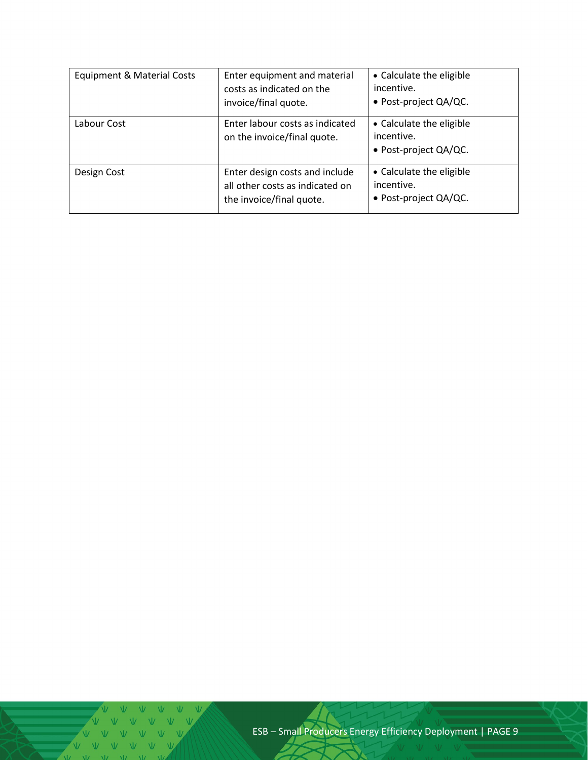| <b>Equipment &amp; Material Costs</b> | Enter equipment and material<br>costs as indicated on the<br>invoice/final quote.             | • Calculate the eligible<br>incentive.<br>• Post-project QA/QC.    |
|---------------------------------------|-----------------------------------------------------------------------------------------------|--------------------------------------------------------------------|
| Labour Cost                           | Enter labour costs as indicated<br>on the invoice/final quote.                                | • Calculate the eligible<br>incentive.<br>• Post-project QA/QC.    |
| Design Cost                           | Enter design costs and include<br>all other costs as indicated on<br>the invoice/final quote. | • Calculate the eligible<br>incentive.<br>• Post-project $QA/QC$ . |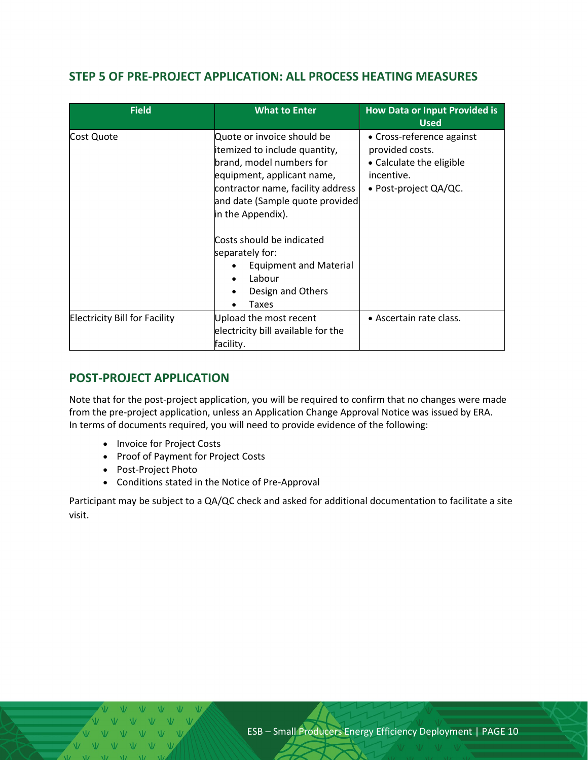# <span id="page-9-0"></span>**STEP 5 OF PRE-PROJECT APPLICATION: ALL PROCESS HEATING MEASURES**

| <b>Field</b>                         | <b>What to Enter</b>                                                                                                                                                                                                                                                                                                                                     | <b>How Data or Input Provided is</b><br><b>Used</b>                                                                |
|--------------------------------------|----------------------------------------------------------------------------------------------------------------------------------------------------------------------------------------------------------------------------------------------------------------------------------------------------------------------------------------------------------|--------------------------------------------------------------------------------------------------------------------|
| Cost Quote                           | Quote or invoice should be<br>itemized to include quantity,<br>brand, model numbers for<br>equipment, applicant name,<br>contractor name, facility address<br>and date (Sample quote provided<br>in the Appendix).<br>Costs should be indicated<br>separately for:<br><b>Equipment and Material</b><br>Labour<br>$\bullet$<br>Design and Others<br>Taxes | • Cross-reference against<br>provided costs.<br>• Calculate the eligible<br>incentive.<br>• Post-project $QA/QC$ . |
| <b>Electricity Bill for Facility</b> | Upload the most recent<br>electricity bill available for the<br>facility.                                                                                                                                                                                                                                                                                | • Ascertain rate class.                                                                                            |

# <span id="page-9-1"></span>**POST-PROJECT APPLICATION**

Note that for the post-project application, you will be required to confirm that no changes were made from the pre-project application, unless an Application Change Approval Notice was issued by ERA. In terms of documents required, you will need to provide evidence of the following:

- Invoice for Project Costs
- Proof of Payment for Project Costs
- Post-Project Photo
- Conditions stated in the Notice of Pre-Approval

Participant may be subject to a QA/QC check and asked for additional documentation to facilitate a site visit.